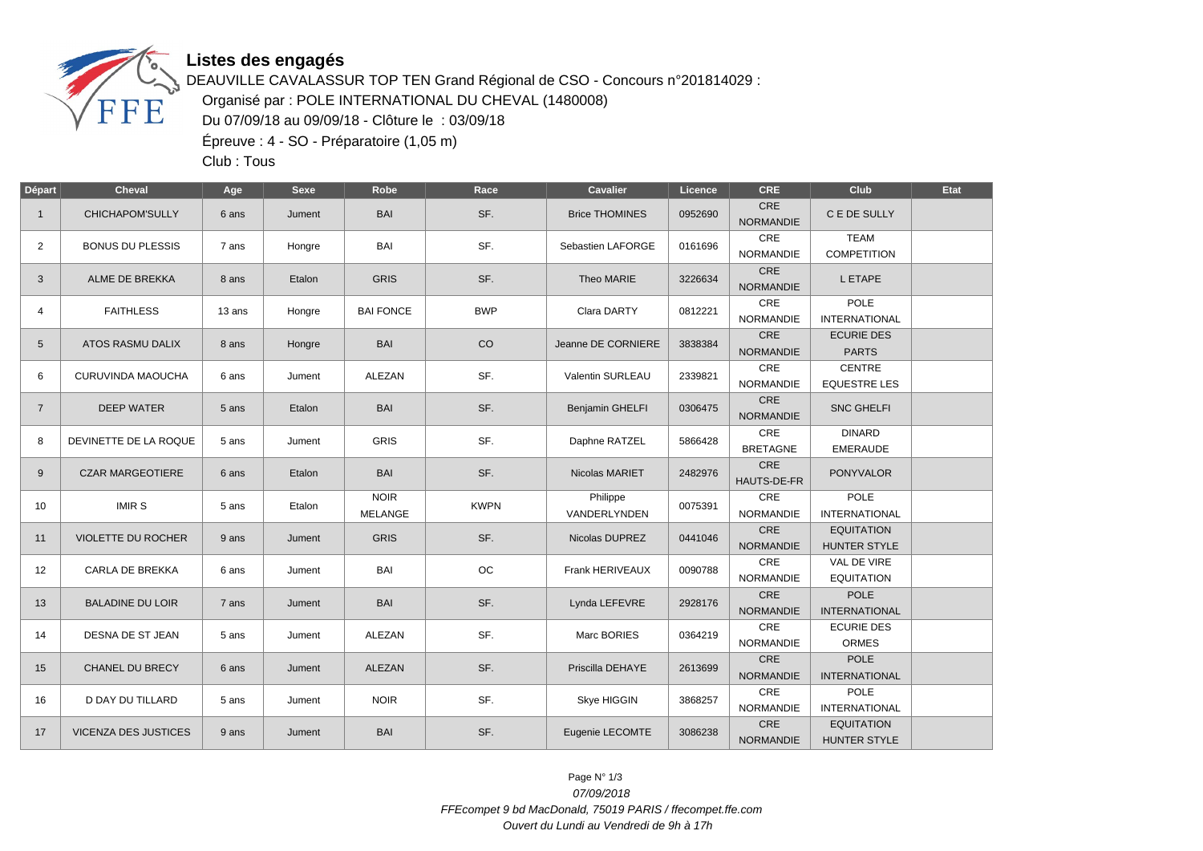

## **Listes des engagés**

DEAUVILLE CAVALASSUR TOP TEN Grand Régional de CSO - Concours n°201814029 : Organisé par : POLE INTERNATIONAL DU CHEVAL (1480008) Du 07/09/18 au 09/09/18 - Clôture le : 03/09/18 Épreuve : 4 - SO - Préparatoire (1,05 m)

Club : Tous

| Départ         | <b>Cheval</b>             | Age    | Sexe   | Robe                          | Race        | Cavalier                 | Licence | <b>CRE</b>                | Club                                | Etat |
|----------------|---------------------------|--------|--------|-------------------------------|-------------|--------------------------|---------|---------------------------|-------------------------------------|------|
| $\mathbf{1}$   | CHICHAPOM'SULLY           | 6 ans  | Jument | <b>BAI</b>                    | SF.         | <b>Brice THOMINES</b>    | 0952690 | CRE<br><b>NORMANDIE</b>   | C E DE SULLY                        |      |
| $\overline{2}$ | <b>BONUS DU PLESSIS</b>   | 7 ans  | Hongre | BAI                           | SF.         | Sebastien LAFORGE        | 0161696 | CRE<br><b>NORMANDIE</b>   | <b>TEAM</b><br><b>COMPETITION</b>   |      |
| 3              | ALME DE BREKKA            | 8 ans  | Etalon | <b>GRIS</b>                   | SF.         | Theo MARIE               | 3226634 | CRE<br><b>NORMANDIE</b>   | L ETAPE                             |      |
| 4              | <b>FAITHLESS</b>          | 13 ans | Hongre | <b>BAI FONCE</b>              | <b>BWP</b>  | Clara DARTY              | 0812221 | CRE<br><b>NORMANDIE</b>   | <b>POLE</b><br><b>INTERNATIONAL</b> |      |
| 5              | ATOS RASMU DALIX          | 8 ans  | Hongre | <b>BAI</b>                    | CO          | Jeanne DE CORNIERE       | 3838384 | CRE<br><b>NORMANDIE</b>   | <b>ECURIE DES</b><br><b>PARTS</b>   |      |
| 6              | CURUVINDA MAOUCHA         | 6 ans  | Jument | ALEZAN                        | SF.         | Valentin SURLEAU         | 2339821 | CRE<br><b>NORMANDIE</b>   | CENTRE<br><b>EQUESTRE LES</b>       |      |
| $\overline{7}$ | <b>DEEP WATER</b>         | 5 ans  | Etalon | <b>BAI</b>                    | SF.         | Benjamin GHELFI          | 0306475 | CRE<br><b>NORMANDIE</b>   | <b>SNC GHELFI</b>                   |      |
| 8              | DEVINETTE DE LA ROQUE     | 5 ans  | Jument | <b>GRIS</b>                   | SF.         | Daphne RATZEL            | 5866428 | CRE<br><b>BRETAGNE</b>    | <b>DINARD</b><br><b>EMERAUDE</b>    |      |
| 9              | <b>CZAR MARGEOTIERE</b>   | 6 ans  | Etalon | <b>BAI</b>                    | SF.         | Nicolas MARIET           | 2482976 | <b>CRE</b><br>HAUTS-DE-FR | <b>PONYVALOR</b>                    |      |
| 10             | <b>IMIRS</b>              | 5 ans  | Etalon | <b>NOIR</b><br><b>MELANGE</b> | <b>KWPN</b> | Philippe<br>VANDERLYNDEN | 0075391 | CRE<br><b>NORMANDIE</b>   | <b>POLE</b><br><b>INTERNATIONAL</b> |      |
| 11             | <b>VIOLETTE DU ROCHER</b> | 9 ans  | Jument | <b>GRIS</b>                   | SF.         | Nicolas DUPREZ           | 0441046 | CRE<br><b>NORMANDIE</b>   | <b>EQUITATION</b><br>HUNTER STYLE   |      |
| 12             | CARLA DE BREKKA           | 6 ans  | Jument | BAI                           | OC          | Frank HERIVEAUX          | 0090788 | CRE<br><b>NORMANDIE</b>   | VAL DE VIRE<br><b>EQUITATION</b>    |      |
| 13             | <b>BALADINE DU LOIR</b>   | 7 ans  | Jument | <b>BAI</b>                    | SF.         | Lynda LEFEVRE            | 2928176 | CRE<br><b>NORMANDIE</b>   | <b>POLE</b><br><b>INTERNATIONAL</b> |      |
| 14             | DESNA DE ST JEAN          | 5 ans  | Jument | ALEZAN                        | SF.         | Marc BORIES              | 0364219 | CRE<br><b>NORMANDIE</b>   | <b>ECURIE DES</b><br>ORMES          |      |
| 15             | <b>CHANEL DU BRECY</b>    | 6 ans  | Jument | ALEZAN                        | SF.         | Priscilla DEHAYE         | 2613699 | CRE<br><b>NORMANDIE</b>   | <b>POLE</b><br><b>INTERNATIONAL</b> |      |
| 16             | D DAY DU TILLARD          | 5 ans  | Jument | <b>NOIR</b>                   | SF.         | Skye HIGGIN              | 3868257 | CRE<br><b>NORMANDIE</b>   | <b>POLE</b><br><b>INTERNATIONAL</b> |      |
| 17             | VICENZA DES JUSTICES      | 9 ans  | Jument | <b>BAI</b>                    | SF.         | Eugenie LECOMTE          | 3086238 | CRE<br><b>NORMANDIE</b>   | <b>EQUITATION</b><br>HUNTER STYLE   |      |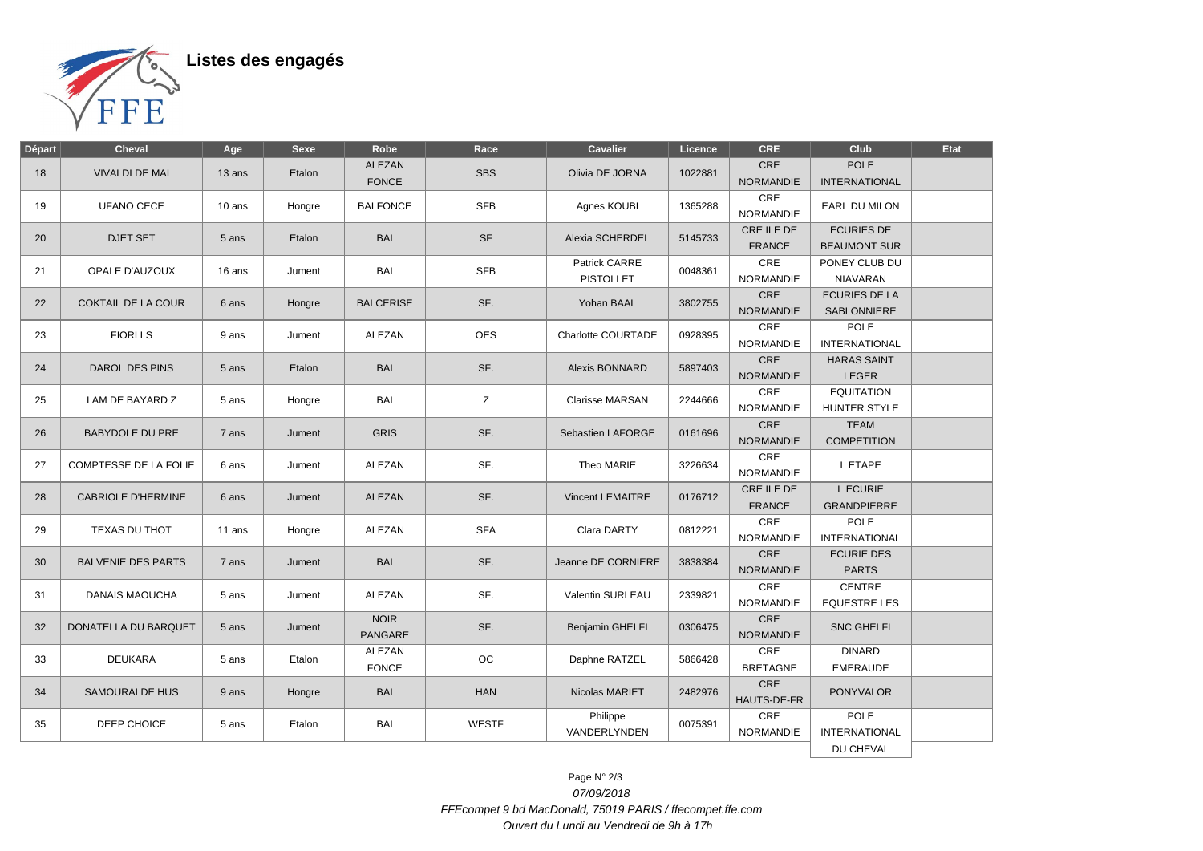

Listes des engagés

| Départ | Cheval                       | Age      | <b>Sexe</b> | Robe                          | Race         | Cavalier                          | Licence | <b>CRE</b>                     | Club                                       | <b>Etat</b> |
|--------|------------------------------|----------|-------------|-------------------------------|--------------|-----------------------------------|---------|--------------------------------|--------------------------------------------|-------------|
| 18     | <b>VIVALDI DE MAI</b>        | 13 ans   | Etalon      | <b>ALEZAN</b><br><b>FONCE</b> | <b>SBS</b>   | Olivia DE JORNA                   | 1022881 | CRE<br><b>NORMANDIE</b>        | <b>POLE</b><br><b>INTERNATIONAL</b>        |             |
| 19     | <b>UFANO CECE</b>            | $10$ ans | Hongre      | <b>BAI FONCE</b>              | <b>SFB</b>   | Agnes KOUBI                       | 1365288 | CRE<br><b>NORMANDIE</b>        | <b>EARL DU MILON</b>                       |             |
| 20     | <b>DJET SET</b>              | 5 ans    | Etalon      | <b>BAI</b>                    | <b>SF</b>    | Alexia SCHERDEL                   | 5145733 | CRE ILE DE<br><b>FRANCE</b>    | <b>ECURIES DE</b><br><b>BEAUMONT SUR</b>   |             |
| 21     | OPALE D'AUZOUX               | 16 ans   | Jument      | <b>BAI</b>                    | <b>SFB</b>   | Patrick CARRE<br><b>PISTOLLET</b> | 0048361 | CRE<br><b>NORMANDIE</b>        | PONEY CLUB DU<br><b>NIAVARAN</b>           |             |
| 22     | <b>COKTAIL DE LA COUR</b>    | 6 ans    | Hongre      | <b>BAI CERISE</b>             | SF.          | Yohan BAAL                        | 3802755 | CRE<br><b>NORMANDIE</b>        | <b>ECURIES DE LA</b><br><b>SABLONNIERE</b> |             |
| 23     | <b>FIORILS</b>               | 9 ans    | Jument      | ALEZAN                        | <b>OES</b>   | Charlotte COURTADE                | 0928395 | CRE<br><b>NORMANDIE</b>        | <b>POLE</b><br><b>INTERNATIONAL</b>        |             |
| 24     | DAROL DES PINS               | 5 ans    | Etalon      | <b>BAI</b>                    | SF.          | Alexis BONNARD                    | 5897403 | CRE<br><b>NORMANDIE</b>        | <b>HARAS SAINT</b><br>LEGER                |             |
| 25     | I AM DE BAYARD Z             | 5 ans    | Hongre      | BAI                           | Z            | <b>Clarisse MARSAN</b>            | 2244666 | CRE<br><b>NORMANDIE</b>        | <b>EQUITATION</b><br>HUNTER STYLE          |             |
| 26     | <b>BABYDOLE DU PRE</b>       | 7 ans    | Jument      | <b>GRIS</b>                   | SF.          | Sebastien LAFORGE                 | 0161696 | CRE<br><b>NORMANDIE</b>        | <b>TEAM</b><br><b>COMPETITION</b>          |             |
| 27     | <b>COMPTESSE DE LA FOLIE</b> | 6 ans    | Jument      | ALEZAN                        | SF.          | Theo MARIE                        | 3226634 | CRE<br><b>NORMANDIE</b>        | L ETAPE                                    |             |
| 28     | <b>CABRIOLE D'HERMINE</b>    | 6 ans    | Jument      | <b>ALEZAN</b>                 | SF.          | <b>Vincent LEMAITRE</b>           | 0176712 | CRE ILE DE<br><b>FRANCE</b>    | <b>LECURIE</b><br><b>GRANDPIERRE</b>       |             |
| 29     | TEXAS DU THOT                | 11 ans   | Hongre      | ALEZAN                        | <b>SFA</b>   | Clara DARTY                       | 0812221 | CRE<br><b>NORMANDIE</b>        | <b>POLE</b><br><b>INTERNATIONAL</b>        |             |
| 30     | <b>BALVENIE DES PARTS</b>    | 7 ans    | Jument      | <b>BAI</b>                    | SF.          | Jeanne DE CORNIERE                | 3838384 | CRE<br><b>NORMANDIE</b>        | <b>ECURIE DES</b><br><b>PARTS</b>          |             |
| 31     | DANAIS MAOUCHA               | 5 ans    | Jument      | ALEZAN                        | SF.          | Valentin SURLEAU                  | 2339821 | <b>CRE</b><br><b>NORMANDIE</b> | CENTRE<br><b>EQUESTRE LES</b>              |             |
| 32     | DONATELLA DU BARQUET         | 5 ans    | Jument      | <b>NOIR</b><br>PANGARE        | SF.          | Benjamin GHELFI                   | 0306475 | CRE<br><b>NORMANDIE</b>        | <b>SNC GHELFI</b>                          |             |
| 33     | <b>DEUKARA</b>               | 5 ans    | Etalon      | ALEZAN<br><b>FONCE</b>        | OC           | Daphne RATZEL                     | 5866428 | CRE<br><b>BRETAGNE</b>         | <b>DINARD</b><br><b>EMERAUDE</b>           |             |
| 34     | <b>SAMOURAI DE HUS</b>       | 9 ans    | Hongre      | <b>BAI</b>                    | <b>HAN</b>   | Nicolas MARIET                    | 2482976 | CRE<br>HAUTS-DE-FR             | <b>PONYVALOR</b>                           |             |
| 35     | DEEP CHOICE                  | 5 ans    | Etalon      | BAI                           | <b>WESTF</b> | Philippe<br>VANDERLYNDEN          | 0075391 | CRE<br><b>NORMANDIE</b>        | <b>POLE</b><br><b>INTERNATIONAL</b>        |             |
|        |                              |          |             |                               |              |                                   |         |                                | DU CHEVAL                                  |             |

Page N° 2/3 07/09/2018 FFEcompet 9 bd MacDonald, 75019 PARIS / ffecompet.ffe.com Ouvert du Lundi au Vendredi de 9h à 17h